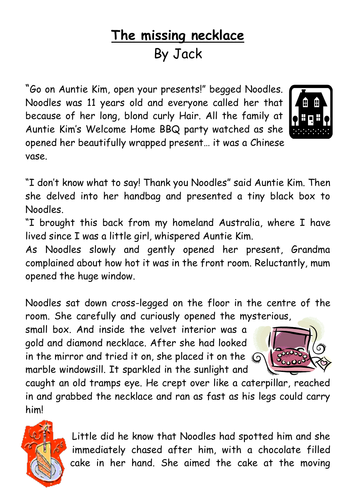## **The missing necklace**  By Jack

"Go on Auntie Kim, open your presents!" begged Noodles. Noodles was 11 years old and everyone called her that because of her long, blond curly Hair. All the family at Auntie Kim's Welcome Home BBQ party watched as she opened her beautifully wrapped present… it was a Chinese vase.



"I don't know what to say! Thank you Noodles" said Auntie Kim. Then she delved into her handbag and presented a tiny black box to Noodles.

"I brought this back from my homeland Australia, where I have lived since I was a little girl, whispered Auntie Kim.

As Noodles slowly and gently opened her present, Grandma complained about how hot it was in the front room. Reluctantly, mum opened the huge window.

Noodles sat down cross-legged on the floor in the centre of the room. She carefully and curiously opened the mysterious,

small box. And inside the velvet interior was a gold and diamond necklace. After she had looked in the mirror and tried it on, she placed it on the  $\mathbb{Q}$ marble windowsill. It sparkled in the sunlight and



caught an old tramps eye. He crept over like a caterpillar, reached in and grabbed the necklace and ran as fast as his legs could carry him!



Little did he know that Noodles had spotted him and she immediately chased after him, with a chocolate filled cake in her hand. She aimed the cake at the moving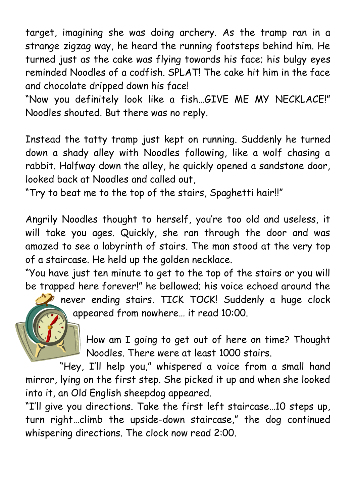target, imagining she was doing archery. As the tramp ran in a strange zigzag way, he heard the running footsteps behind him. He turned just as the cake was flying towards his face; his bulgy eyes reminded Noodles of a codfish. SPLAT! The cake hit him in the face and chocolate dripped down his face!

"Now you definitely look like a fish…GIVE ME MY NECKLACE!" Noodles shouted. But there was no reply.

Instead the tatty tramp just kept on running. Suddenly he turned down a shady alley with Noodles following, like a wolf chasing a rabbit. Halfway down the alley, he quickly opened a sandstone door, looked back at Noodles and called out,

"Try to beat me to the top of the stairs, Spaghetti hair!!"

Angrily Noodles thought to herself, you're too old and useless, it will take you ages. Quickly, she ran through the door and was amazed to see a labyrinth of stairs. The man stood at the very top of a staircase. He held up the golden necklace.

"You have just ten minute to get to the top of the stairs or you will be trapped here forever!" he bellowed; his voice echoed around the

> never ending stairs. TICK TOCK! Suddenly a huge clock appeared from nowhere… it read 10:00.



"Hey, I'll help you," whispered a voice from a small hand mirror, lying on the first step. She picked it up and when she looked into it, an Old English sheepdog appeared.

"I'll give you directions. Take the first left staircase…10 steps up, turn right…climb the upside-down staircase," the dog continued whispering directions. The clock now read 2:00.